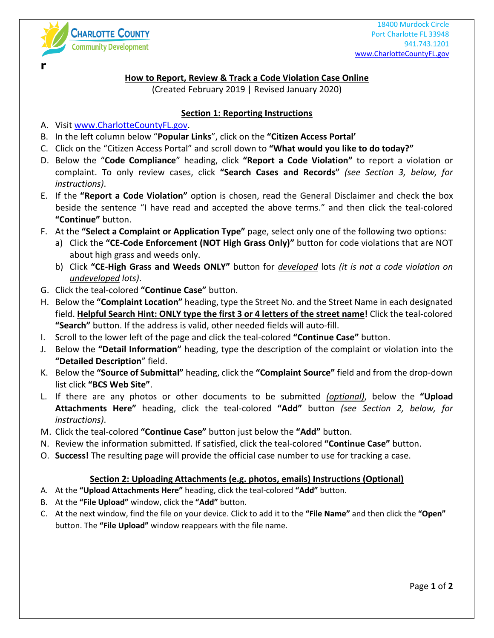

**r**

**How to Report, Review & Track a Code Violation Case Online**

(Created February 2019 | Revised January 2020)

## **Section 1: Reporting Instructions**

- A. Visit [www.CharlotteCountyFL.gov.](http://www.charlottecountyfl.gov/)
- B. In the left column below "**Popular Links**", click on the **"Citizen Access Portal'**
- C. Click on the "Citizen Access Portal" and scroll down to **"What would you like to do today?"**
- D. Below the "**Code Compliance**" heading, click **"Report a Code Violation"** to report a violation or complaint. To only review cases, click **"Search Cases and Records"** *(see Section 3, below, for instructions)*.
- E. If the **"Report a Code Violation"** option is chosen, read the General Disclaimer and check the box beside the sentence "I have read and accepted the above terms." and then click the teal-colored **"Continue"** button.
- F. At the **"Select a Complaint or Application Type"** page, select only one of the following two options:
	- a) Click the **"CE-Code Enforcement (NOT High Grass Only)"** button for code violations that are NOT about high grass and weeds only.
	- b) Click **"CE-High Grass and Weeds ONLY"** button for *developed* lots *(it is not a code violation on undeveloped lots)*.
- G. Click the teal-colored **"Continue Case"** button.
- H. Below the **"Complaint Location"** heading, type the Street No. and the Street Name in each designated field. **Helpful Search Hint: ONLY type the first 3 or 4 letters of the street name!** Click the teal-colored **"Search"** button. If the address is valid, other needed fields will auto-fill.
- I. Scroll to the lower left of the page and click the teal-colored **"Continue Case"** button.
- J. Below the **"Detail Information"** heading, type the description of the complaint or violation into the **"Detailed Description**" field.
- K. Below the **"Source of Submittal"** heading, click the **"Complaint Source"** field and from the drop-down list click **"BCS Web Site"**.
- L. If there are any photos or other documents to be submitted *(optional)*, below the **"Upload Attachments Here"** heading, click the teal-colored **"Add"** button *(see Section 2, below, for instructions)*.
- M. Click the teal-colored **"Continue Case"** button just below the **"Add"** button.
- N. Review the information submitted. If satisfied, click the teal-colored **"Continue Case"** button.
- O. **Success!** The resulting page will provide the official case number to use for tracking a case.

## **Section 2: Uploading Attachments (e.g. photos, emails) Instructions (Optional)**

- A. At the **"Upload Attachments Here"** heading, click the teal-colored **"Add"** button.
- B. At the **"File Upload"** window, click the **"Add"** button.
- C. At the next window, find the file on your device. Click to add it to the **"File Name"** and then click the **"Open"** button. The **"File Upload"** window reappears with the file name.